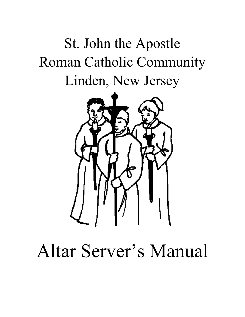## St. John the Apostle Roman Catholic Community Linden, New Jersey



# Altar Server's Manual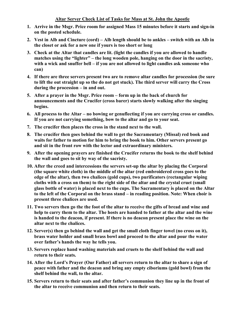## **Altar Server Check List of Tasks for Mass at St. John the Apostle**

- **1. Arrive in the Msgr. Price room for assigned Mass 15 minutes before it starts and sign-in on the posted schedule.**
- **2. Vest in Alb and Cincture (cord) – Alb length should be to ankles – switch with an Alb in the closet or ask for a new one if yours is too short or long**
- **3. Check at the Altar that candles are lit. (light the candles if you are allowed to handle matches using the "lighter" – the long wooden pole, hanging on the door in the sacristy, with a wick and snuffer bell – if you are not allowed to light candles ask someone who can)**
- **4. If there are three servers present two are to remove altar candles for procession (be sure to lift the out straight up so the do not get stuck). The third server will carry the Cross during the procession – in and out.**
- **5. After a prayer in the Msgr. Price room – form up in the back of church for announcements and the Crucifer (cross barer) starts slowly walking after the singing begins.**
- **6. All process to the Altar – no bowing or genuflecting if you are carrying cross or candles. If you are not carrying something, bow to the altar and go to your seat.**
- **7. The crucifer then places the cross in the stand next to the wall.**
- **8. The crucifer then goes behind the wall to get the Sacramentary (Missal) red book and waits for father to motion for him to bring the book to him. Other servers present go and sit in the front row with the lector and extraordinary ministers.**
- **9. After the opening prayers are finished the Crucifer returns the book to the shelf behind the wall and goes to sit by way of the sacristy.**
- **10. After the creed and intercessions the servers set-up the altar by placing the Corporal (the square white cloth) in the middle of the altar (red embroidered cross goes to the edge of the altar), then two chalices (gold cups), two purificators (rectangular wiping cloths with a cross on them) to the right side of the altar and the crystal cruet (small glass bottle of water) is placed next to the cups. The Sacramentary is placed on the Altar to the left of the Corporal on the brass stand – in reading position. Note: When choir is present three chalices are used.**
- **11. Two servers then go the the foot of the altar to receive the gifts of bread and wine and help to carry them to the altar. The hosts are handed to father at the altar and the wine is handed to the deacon, if present. If there is no deacon present place the wine on the altar next to the chalices.**
- **12. Server(s) then go behind the wall and get the small cloth finger towel (no cross on it), brass water holder and small brass bowl and proceed to the altar and pour the water over father's hands the way he tells you.**
- **13. Servers replace hand washing materials and cruets to the shelf behind the wall and return to their seats.**
- **14. After the Lord's Prayer (Our Father) all servers return to the altar to share a sign of peace with father and the deacon and bring any empty ciboriums (gold bowl) from the shelf behind the wall, to the altar.**
- **15. Servers return to their seats and after father's communion they line up in the front of the altar to receive communion and then return to their seats.**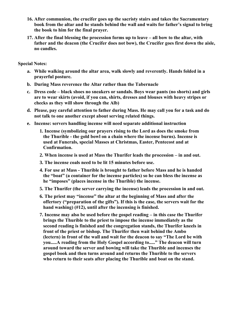- **16. After communion, the crucifer goes up the sacristy stairs and takes the Sacramentary book from the altar and he stands behind the wall and waits for father's signal to bring the book to him for the final prayer.**
- **17. After the final blessing the procession forms up to leave – all bow to the altar, with father and the deacon (the Crucifer does not bow), the Crucifer goes first down the aisle, no candles.**

**Special Notes:**

- **a. While walking around the altar area, walk slowly and reverently. Hands folded in a prayerful posture.**
- **b. During Mass reverence the Altar rather than the Tabernacle**
- **c. Dress code – black shoes no sneakers or sandals. Boys wear pants (no shorts) and girls are to wear skirts (avoid, if you can, shirts, dresses and blouses with heavy stripes or checks as they will show through the Alb)**
- **d. Please, pay careful attention to father during Mass. He may call you for a task and do not talk to one another except about serving related things.**
- **e. Incense: servers handling incense will need separate additional instruction**
	- **1. Incense (symbolizing our prayers rising to the Lord as does the smoke from the Thurible - the gold bowl on a chain where the incense burns). Incense is used at Funerals, special Masses at Christmas, Easter, Pentecost and at Confirmation.**
	- **2. When incense is used at Mass the Thurifer leads the procession – in and out.**
	- **3. The incense coals need to be lit 15 minutes before use.**
	- **4. For use at Mass - Thurible is brought to father before Mass and he is handed the "boat" (a container for the incense particles) so he can bless the incense as he "imposes" (places incense in the Thurible) the incense.**
	- **5. The Thurifer (the server carrying the incense) leads the procession in and out.**
	- **6. The priest may "incense" the altar at the beginning of Mass and after the offertory ("preparation of the gifts"). If this is the case, the servers wait for the hand washing) (#12), until after the incensing is finished.**
	- **7. Incense may also be used before the gospel reading – in this case the Thurifer brings the Thurible to the priest to impose the incense immediately as the second reading is finished and the congregation stands, the Thurifer kneels in front of the priest or bishop. The Thurifer then wait behind the Ambo (lectern) in front of the wall and wait for the deacon to say "The Lord be with you.....A reading from the Holy Gospel according to....." The deacon will turn around toward the server and bowing will take the Thurible and incenses the gospel book and then turns around and returns the Thurible to the servers who return to their seats after placing the Thurible and boat on the stand.**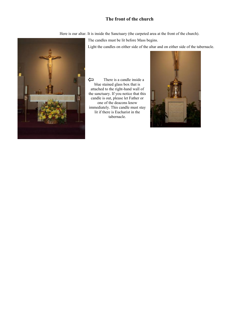## **The front of the church**

Here is our altar. It is inside the Sanctuary (the carpeted area at the front of the church).

The candles must be lit before Mass begins.

Light the candles on either side of the altar and on either side of the tabernacle.



 $\Leftarrow$ There is a candle inside a blue stained glass box that is attached to the right-hand wall of the sanctuary. If you notice that this candle is out, please let Father or one of the deacons know immediately. This candle must stay lit if there is Eucharist in the tabernacle.

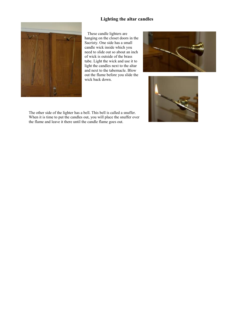## **Lighting the altar candles**



These candle lighters are hanging on the closet doors in the Sacristy. One side has a small candle wick inside which you need to slide out so about an inch of wick is outside of the brass tube. Light the wick and use it to light the candles next to the altar and next to the tabernacle. Blow out the flame before you slide the wick back down.





The other side of the lighter has a bell. This bell is called a snuffer. When it is time to put the candles out, you will place the snuffer over the flame and leave it there until the candle flame goes out.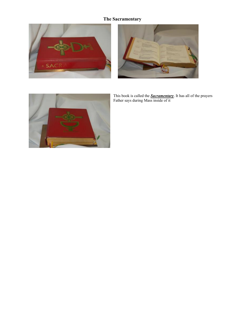## **The Sacramentary**







This book is called the *Sacramentary*. It has all of the prayers Father says during Mass inside of it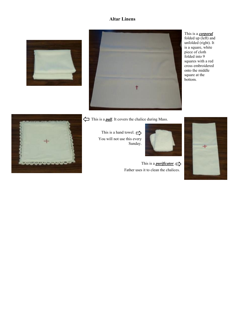## **Altar Linens**





This is a *corporal* folded up (left) and unfolded (right). It is a square, white piece of cloth folded into 9 squares with a red cross embroidered onto the middle square at the bottom.

This is a *pall*. It covers the chalice during Mass.

Sunday.

This is a hand towel.  $\Rightarrow$ You will not use this every



This is a *purificator*. Father uses it to clean the chalices.



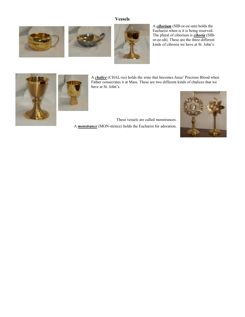## **Vessels**







A *ciborium* (SIB-or-ee-um) holds the Eucharist when is it is being reserved. The plural of ciborium is *ciboria* (SIBor-ee-uh). These are the three different kinds of cibroria we have at St. John's.



A *chalice* (CHAL-iss) holds the wine that becomes Jesus' Precious Blood when Father consecrates it at Mass. These are two different kinds of chalices that we have at St. John's.

 These vessels are called monstrances. A *monstrance* (MON-strince) holds the Eucharist for adoration.

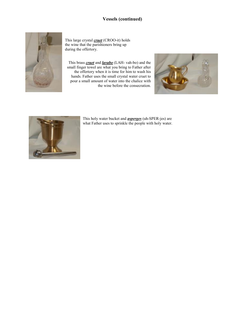## **Vessels (continued)**



This large crystal *cruet* (CROO-it) holds the wine that the parishioners bring up during the offertory.

This brass *cruet* and *lavabo* (LAH- vah-bo) and the small finger towel are what you bring to Father after the offertory when it is time for him to wash his hands. Father uses the small crystal water cruet to pour a small amount of water into the chalice with the wine before the consecration.





This holy water bucket and *asperges* (uh-SPER-jes) are what Father uses to sprinkle the people with holy water.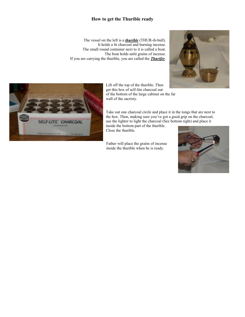#### **How to get the Thurible ready**

The vessel on the left is a *thurible* (THUR-ih-bull). It holds a lit charcoal and burning incense. The small round container next to it is called a boat. The boat holds unlit grains of incense. If you are carrying the thurible, you are called the *Thurifer*.





Lift off the top of the thurible. Then get this box of self-lite charcoal out of the bottom of the large cabinet on the far wall of the sacristy.

Take out one charcoal circle and place it in the tongs that are next to the box. Then, making sure you've got a good grip on the charcoal, use the lighter to light the charcoal (See bottom right) and place it inside the bottom part of the thurible. Close the thurible.

Father will place the grains of incense inside the thurible when he is ready.